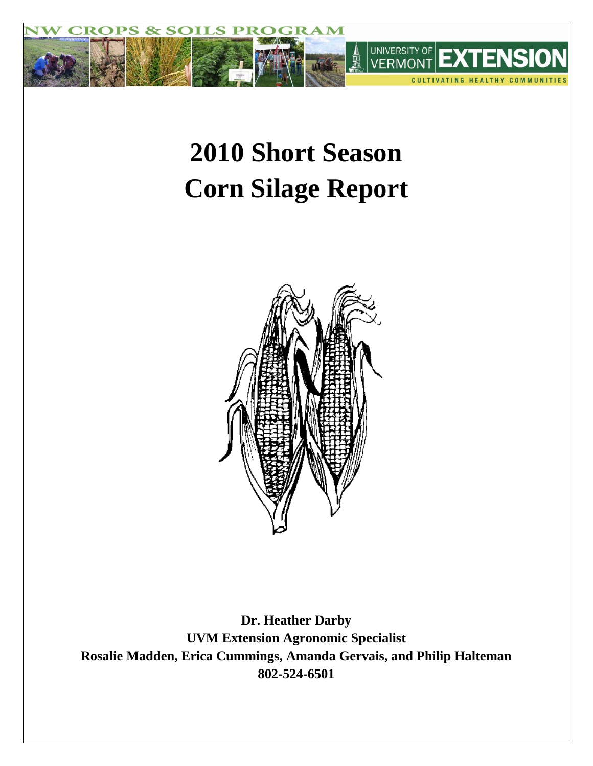

# **2010 Short Season Corn Silage Report**



**Dr. Heather Darby UVM Extension Agronomic Specialist Rosalie Madden, Erica Cummings, Amanda Gervais, and Philip Halteman 802-524-6501**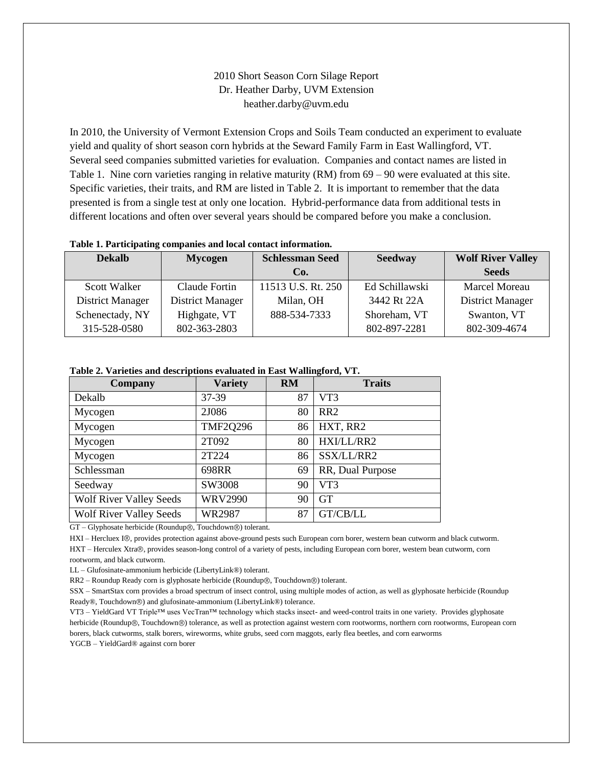## 2010 Short Season Corn Silage Report Dr. Heather Darby, UVM Extension heather.darby@uvm.edu

In 2010, the University of Vermont Extension Crops and Soils Team conducted an experiment to evaluate yield and quality of short season corn hybrids at the Seward Family Farm in East Wallingford, VT. Several seed companies submitted varieties for evaluation. Companies and contact names are listed in Table 1. Nine corn varieties ranging in relative maturity (RM) from 69 – 90 were evaluated at this site. Specific varieties, their traits, and RM are listed in Table 2. It is important to remember that the data presented is from a single test at only one location. Hybrid-performance data from additional tests in different locations and often over several years should be compared before you make a conclusion.

#### **Table 1. Participating companies and local contact information.**

| <b>Dekalb</b>    | <b>Mycogen</b>          | <b>Schlessman Seed</b><br><b>Seedway</b> |                | <b>Wolf River Valley</b> |
|------------------|-------------------------|------------------------------------------|----------------|--------------------------|
|                  |                         | Co.                                      |                | <b>Seeds</b>             |
| Scott Walker     | Claude Fortin           | 11513 U.S. Rt. 250                       | Ed Schillawski | <b>Marcel Moreau</b>     |
| District Manager | <b>District Manager</b> | Milan, OH                                | 3442 Rt 22A    | District Manager         |
| Schenectady, NY  | Highgate, VT            | 888-534-7333                             | Shoreham, VT   | Swanton, VT              |
| 315-528-0580     | 802-363-2803            |                                          | 802-897-2281   | 802-309-4674             |

#### **Table 2. Varieties and descriptions evaluated in East Wallingford, VT.**

| Company                        | <b>Variety</b>  | <b>RM</b> | <b>Traits</b>    |
|--------------------------------|-----------------|-----------|------------------|
| Dekalb                         | 37-39           | 87        | VT3              |
| Mycogen                        | 2J086           | 80        | RR <sub>2</sub>  |
| Mycogen                        | <b>TMF2Q296</b> | 86        | HXT, RR2         |
| Mycogen                        | 2T092           | 80        | HXI/LL/RR2       |
| Mycogen                        | 2T224           | 86        | SSX/LL/RR2       |
| Schlessman                     | 698RR           | 69        | RR, Dual Purpose |
| Seedway                        | SW3008          | 90        | VT3              |
| <b>Wolf River Valley Seeds</b> | <b>WRV2990</b>  | 90        | <b>GT</b>        |
| <b>Wolf River Valley Seeds</b> | <b>WR2987</b>   | 87        | GT/CB/LL         |

GT - Glyphosate herbicide (Roundup®, Touchdown®) tolerant.

HXI - Hercluex I®, provides protection against above-ground pests such European corn borer, western bean cutworm and black cutworm. HXT – Herculex Xtra®, provides season-long control of a variety of pests, including European corn borer, western bean cutworm, corn rootworm, and black cutworm.

LL – Glufosinate-ammonium herbicide (LibertyLink®) tolerant.

RR2 – Roundup Ready corn is glyphosate herbicide (Roundup®, Touchdown®) tolerant.

SSX – SmartStax corn provides a broad spectrum of insect control, using multiple modes of action, as well as glyphosate herbicide (Roundup Ready®, Touchdown®) and glufosinate-ammonium (LibertyLink®) tolerance.

VT3 – YieldGard VT Triple™ uses VecTran™ technology which stacks insect- and weed-control traits in one variety. Provides glyphosate herbicide (Roundup®, Touchdown®) tolerance, as well as protection against western corn rootworms, northern corn rootworms, European corn borers, black cutworms, stalk borers, wireworms, white grubs, seed corn maggots, early flea beetles, and corn earworms YGCB – YieldGard® against corn borer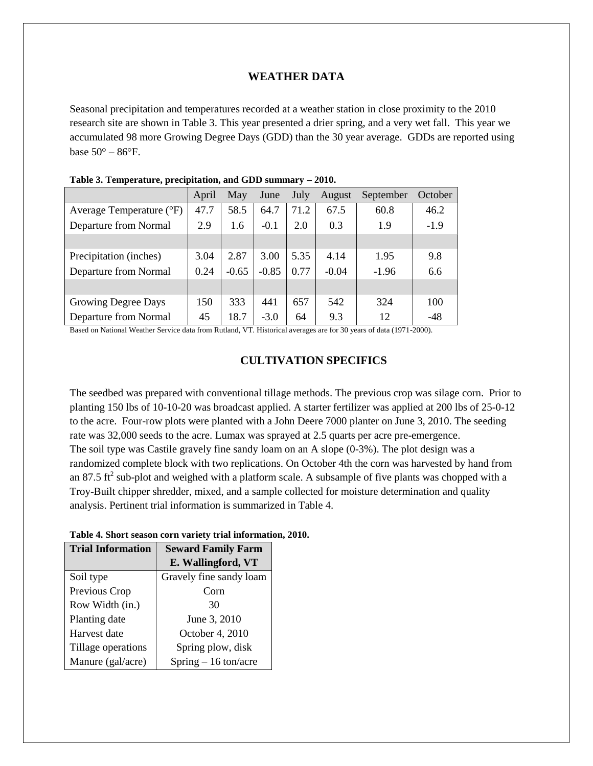## **WEATHER DATA**

Seasonal precipitation and temperatures recorded at a weather station in close proximity to the 2010 research site are shown in Table 3. This year presented a drier spring, and a very wet fall. This year we accumulated 98 more Growing Degree Days (GDD) than the 30 year average. GDDs are reported using base  $50^{\circ} - 86^{\circ}$ F.

|                          | April | May     | June    | July | August  | September | October |
|--------------------------|-------|---------|---------|------|---------|-----------|---------|
| Average Temperature (°F) | 47.7  | 58.5    | 64.7    | 71.2 | 67.5    | 60.8      | 46.2    |
| Departure from Normal    | 2.9   | 1.6     | $-0.1$  | 2.0  | 0.3     | 1.9       | $-1.9$  |
|                          |       |         |         |      |         |           |         |
| Precipitation (inches)   | 3.04  | 2.87    | 3.00    | 5.35 | 4.14    | 1.95      | 9.8     |
| Departure from Normal    | 0.24  | $-0.65$ | $-0.85$ | 0.77 | $-0.04$ | $-1.96$   | 6.6     |
|                          |       |         |         |      |         |           |         |
| Growing Degree Days      | 150   | 333     | 441     | 657  | 542     | 324       | 100     |
| Departure from Normal    | 45    | 18.7    | $-3.0$  | 64   | 9.3     | 12        | -48     |

| Table 3. Temperature, precipitation, and GDD summary - 2010. |  |  |  |
|--------------------------------------------------------------|--|--|--|
|--------------------------------------------------------------|--|--|--|

Based on National Weather Service data from Rutland, VT. Historical averages are for 30 years of data (1971-2000).

## **CULTIVATION SPECIFICS**

The seedbed was prepared with conventional tillage methods. The previous crop was silage corn. Prior to planting 150 lbs of 10-10-20 was broadcast applied. A starter fertilizer was applied at 200 lbs of 25-0-12 to the acre. Four-row plots were planted with a John Deere 7000 planter on June 3, 2010. The seeding rate was 32,000 seeds to the acre. Lumax was sprayed at 2.5 quarts per acre pre-emergence. The soil type was Castile gravely fine sandy loam on an A slope (0-3%). The plot design was a randomized complete block with two replications. On October 4th the corn was harvested by hand from an 87.5 ft<sup>2</sup> sub-plot and weighed with a platform scale. A subsample of five plants was chopped with a Troy-Built chipper shredder, mixed, and a sample collected for moisture determination and quality analysis. Pertinent trial information is summarized in Table 4.

| <b>Trial Information</b> | <b>Seward Family Farm</b> |  |  |  |  |
|--------------------------|---------------------------|--|--|--|--|
|                          | E. Wallingford, VT        |  |  |  |  |
| Soil type                | Gravely fine sandy loam   |  |  |  |  |
| Previous Crop            | C <sub>orn</sub>          |  |  |  |  |
| Row Width (in.)          | 30                        |  |  |  |  |
| Planting date            | June 3, 2010              |  |  |  |  |
| Harvest date             | October 4, 2010           |  |  |  |  |
| Tillage operations       | Spring plow, disk         |  |  |  |  |
| Manure (gal/acre)        | Spring $-16$ ton/acre     |  |  |  |  |

#### **Table 4. Short season corn variety trial information, 2010.**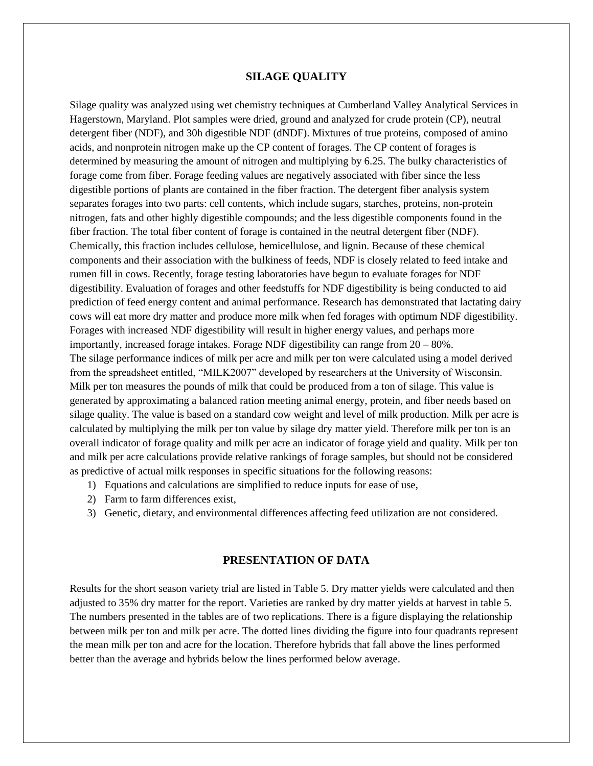## **SILAGE QUALITY**

Silage quality was analyzed using wet chemistry techniques at Cumberland Valley Analytical Services in Hagerstown, Maryland. Plot samples were dried, ground and analyzed for crude protein (CP), neutral detergent fiber (NDF), and 30h digestible NDF (dNDF). Mixtures of true proteins, composed of amino acids, and nonprotein nitrogen make up the CP content of forages. The CP content of forages is determined by measuring the amount of nitrogen and multiplying by 6.25. The bulky characteristics of forage come from fiber. Forage feeding values are negatively associated with fiber since the less digestible portions of plants are contained in the fiber fraction. The detergent fiber analysis system separates forages into two parts: cell contents, which include sugars, starches, proteins, non-protein nitrogen, fats and other highly digestible compounds; and the less digestible components found in the fiber fraction. The total fiber content of forage is contained in the neutral detergent fiber (NDF). Chemically, this fraction includes cellulose, hemicellulose, and lignin. Because of these chemical components and their association with the bulkiness of feeds, NDF is closely related to feed intake and rumen fill in cows. Recently, forage testing laboratories have begun to evaluate forages for NDF digestibility. Evaluation of forages and other feedstuffs for NDF digestibility is being conducted to aid prediction of feed energy content and animal performance. Research has demonstrated that lactating dairy cows will eat more dry matter and produce more milk when fed forages with optimum NDF digestibility. Forages with increased NDF digestibility will result in higher energy values, and perhaps more importantly, increased forage intakes. Forage NDF digestibility can range from 20 – 80%. The silage performance indices of milk per acre and milk per ton were calculated using a model derived from the spreadsheet entitled, "MILK2007" developed by researchers at the University of Wisconsin. Milk per ton measures the pounds of milk that could be produced from a ton of silage. This value is generated by approximating a balanced ration meeting animal energy, protein, and fiber needs based on silage quality. The value is based on a standard cow weight and level of milk production. Milk per acre is calculated by multiplying the milk per ton value by silage dry matter yield. Therefore milk per ton is an overall indicator of forage quality and milk per acre an indicator of forage yield and quality. Milk per ton and milk per acre calculations provide relative rankings of forage samples, but should not be considered as predictive of actual milk responses in specific situations for the following reasons:

- 1) Equations and calculations are simplified to reduce inputs for ease of use,
- 2) Farm to farm differences exist,
- 3) Genetic, dietary, and environmental differences affecting feed utilization are not considered.

## **PRESENTATION OF DATA**

Results for the short season variety trial are listed in Table 5. Dry matter yields were calculated and then adjusted to 35% dry matter for the report. Varieties are ranked by dry matter yields at harvest in table 5. The numbers presented in the tables are of two replications. There is a figure displaying the relationship between milk per ton and milk per acre. The dotted lines dividing the figure into four quadrants represent the mean milk per ton and acre for the location. Therefore hybrids that fall above the lines performed better than the average and hybrids below the lines performed below average.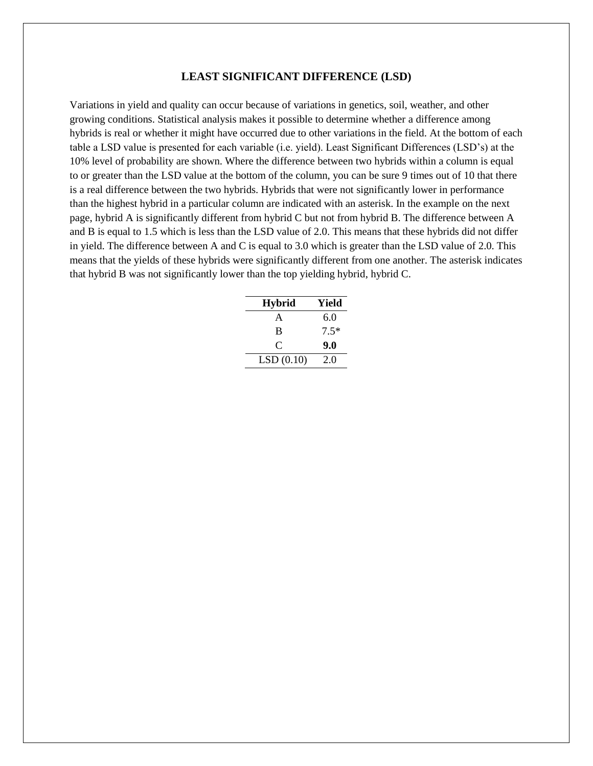### **LEAST SIGNIFICANT DIFFERENCE (LSD)**

Variations in yield and quality can occur because of variations in genetics, soil, weather, and other growing conditions. Statistical analysis makes it possible to determine whether a difference among hybrids is real or whether it might have occurred due to other variations in the field. At the bottom of each table a LSD value is presented for each variable (i.e. yield). Least Significant Differences (LSD's) at the 10% level of probability are shown. Where the difference between two hybrids within a column is equal to or greater than the LSD value at the bottom of the column, you can be sure 9 times out of 10 that there is a real difference between the two hybrids. Hybrids that were not significantly lower in performance than the highest hybrid in a particular column are indicated with an asterisk. In the example on the next page, hybrid A is significantly different from hybrid C but not from hybrid B. The difference between A and B is equal to 1.5 which is less than the LSD value of 2.0. This means that these hybrids did not differ in yield. The difference between A and C is equal to 3.0 which is greater than the LSD value of 2.0. This means that the yields of these hybrids were significantly different from one another. The asterisk indicates that hybrid B was not significantly lower than the top yielding hybrid, hybrid C.

| <b>Hybrid</b> | Yield  |
|---------------|--------|
| A             | 6.0    |
| B             | $7.5*$ |
| C             | 9.0    |
| LSD(0.10)     | 2.0    |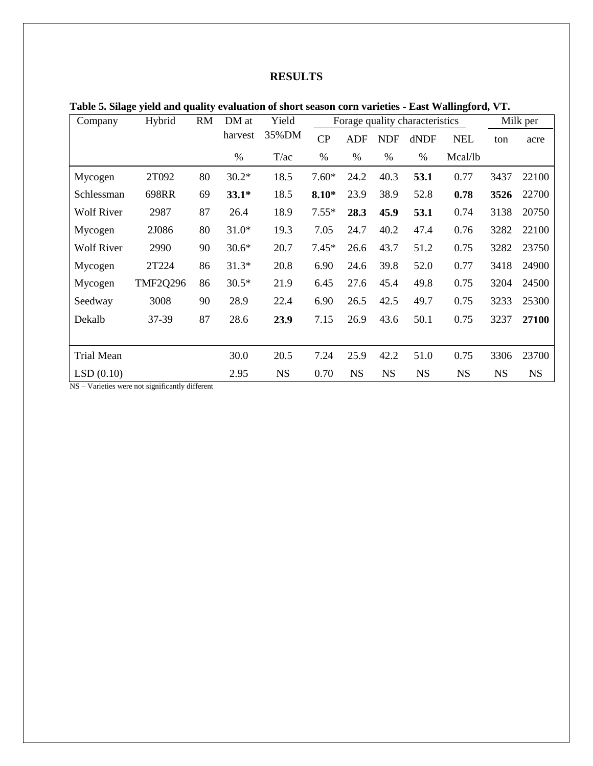## **RESULTS**

| Table 5. Silage yield and quality evaluation of short season corn varieties - East Wallingford, VT. |  |  |  |
|-----------------------------------------------------------------------------------------------------|--|--|--|
|-----------------------------------------------------------------------------------------------------|--|--|--|

| Company           | Yield<br>Hybrid<br><b>RM</b><br>DM at<br>Forage quality characteristics |    |         |           |         | Milk per  |            |           |            |           |           |
|-------------------|-------------------------------------------------------------------------|----|---------|-----------|---------|-----------|------------|-----------|------------|-----------|-----------|
|                   |                                                                         |    | harvest | 35%DM     | CP      | ADF       | <b>NDF</b> | dNDF      | <b>NEL</b> | ton       | acre      |
|                   |                                                                         |    | %       | T/ac      | %       | $\%$      | %          | %         | Mcal/lb    |           |           |
| Mycogen           | 2T092                                                                   | 80 | $30.2*$ | 18.5      | $7.60*$ | 24.2      | 40.3       | 53.1      | 0.77       | 3437      | 22100     |
| Schlessman        | 698RR                                                                   | 69 | $33.1*$ | 18.5      | $8.10*$ | 23.9      | 38.9       | 52.8      | 0.78       | 3526      | 22700     |
| <b>Wolf River</b> | 2987                                                                    | 87 | 26.4    | 18.9      | $7.55*$ | 28.3      | 45.9       | 53.1      | 0.74       | 3138      | 20750     |
| Mycogen           | 2J086                                                                   | 80 | $31.0*$ | 19.3      | 7.05    | 24.7      | 40.2       | 47.4      | 0.76       | 3282      | 22100     |
| <b>Wolf River</b> | 2990                                                                    | 90 | $30.6*$ | 20.7      | $7.45*$ | 26.6      | 43.7       | 51.2      | 0.75       | 3282      | 23750     |
| Mycogen           | 2T224                                                                   | 86 | $31.3*$ | 20.8      | 6.90    | 24.6      | 39.8       | 52.0      | 0.77       | 3418      | 24900     |
| Mycogen           | <b>TMF2Q296</b>                                                         | 86 | $30.5*$ | 21.9      | 6.45    | 27.6      | 45.4       | 49.8      | 0.75       | 3204      | 24500     |
| Seedway           | 3008                                                                    | 90 | 28.9    | 22.4      | 6.90    | 26.5      | 42.5       | 49.7      | 0.75       | 3233      | 25300     |
| Dekalb            | 37-39                                                                   | 87 | 28.6    | 23.9      | 7.15    | 26.9      | 43.6       | 50.1      | 0.75       | 3237      | 27100     |
|                   |                                                                         |    |         |           |         |           |            |           |            |           |           |
| <b>Trial Mean</b> |                                                                         |    | 30.0    | 20.5      | 7.24    | 25.9      | 42.2       | 51.0      | 0.75       | 3306      | 23700     |
| LSD(0.10)         |                                                                         |    | 2.95    | <b>NS</b> | 0.70    | <b>NS</b> | <b>NS</b>  | <b>NS</b> | <b>NS</b>  | <b>NS</b> | <b>NS</b> |

NS – Varieties were not significantly different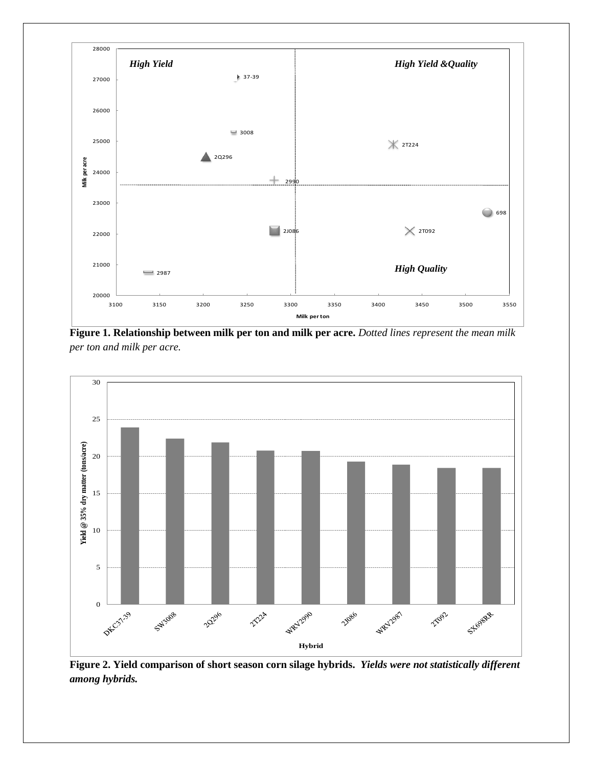

**Figure 1. Relationship between milk per ton and milk per acre.** *Dotted lines represent the mean milk per ton and milk per acre.*



**Figure 2. Yield comparison of short season corn silage hybrids.** *Yields were not statistically different among hybrids.*